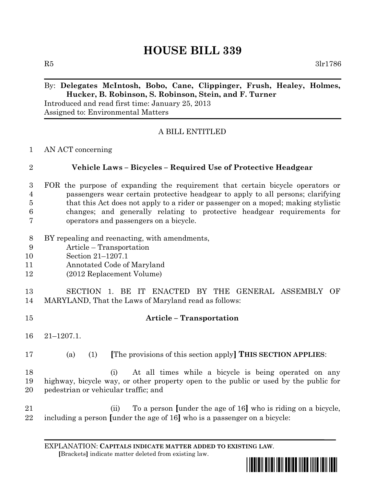## **HOUSE BILL 339**

 $R5$   $3\text{lr}1786$ 

## By: **Delegates McIntosh, Bobo, Cane, Clippinger, Frush, Healey, Holmes, Hucker, B. Robinson, S. Robinson, Stein, and F. Turner**

Introduced and read first time: January 25, 2013 Assigned to: Environmental Matters

## A BILL ENTITLED

AN ACT concerning

| $\overline{2}$ | Vehicle Laws – Bicycles – Required Use of Protective Headgear                     |
|----------------|-----------------------------------------------------------------------------------|
|                | FOR the purpose of expanding the requirement that certain bicycle operators or    |
| $\overline{4}$ | passengers wear certain protective headgear to apply to all persons; clarifying   |
| $\overline{5}$ | that this Act does not apply to a rider or passenger on a moped; making stylistic |
| 6              | changes; and generally relating to protective headgear requirements for           |
| 7              | operators and passengers on a bicycle.                                            |

- BY repealing and reenacting, with amendments,
- Article Transportation
- Section 21–1207.1
- Annotated Code of Maryland
- (2012 Replacement Volume)

 SECTION 1. BE IT ENACTED BY THE GENERAL ASSEMBLY OF MARYLAND, That the Laws of Maryland read as follows:

- **Article – Transportation** 21–1207.1. (a) (1) **[**The provisions of this section apply**] THIS SECTION APPLIES**: (i) At all times while a bicycle is being operated on any highway, bicycle way, or other property open to the public or used by the public for pedestrian or vehicular traffic; and (ii) To a person **[**under the age of 16**]** who is riding on a bicycle,
- including a person **[**under the age of 16**]** who is a passenger on a bicycle:

EXPLANATION: **CAPITALS INDICATE MATTER ADDED TO EXISTING LAW**.  **[**Brackets**]** indicate matter deleted from existing law.